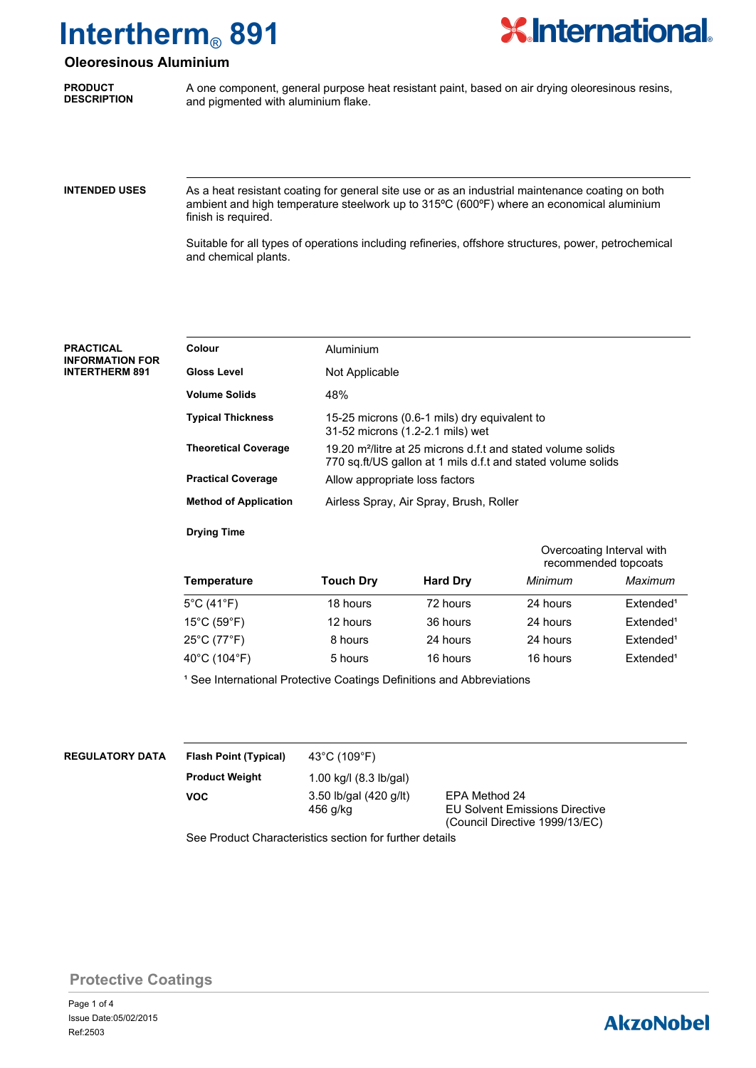

### **Oleoresinous Aluminium**

**PRODUCT DESCRIPTION** A one component, general purpose heat resistant paint, based on air drying oleoresinous resins, and pigmented with aluminium flake.

**INTENDED USES**

As a heat resistant coating for general site use or as an industrial maintenance coating on both ambient and high temperature steelwork up to 315ºC (600ºF) where an economical aluminium finish is required.

Suitable for all types of operations including refineries, offshore structures, power, petrochemical and chemical plants.

| <b>PRACTICAL</b><br><b>INFORMATION FOR</b><br><b>INTERTHERM 891</b> | Colour                       | Aluminium                                                                                                                                |
|---------------------------------------------------------------------|------------------------------|------------------------------------------------------------------------------------------------------------------------------------------|
|                                                                     | <b>Gloss Level</b>           | Not Applicable                                                                                                                           |
|                                                                     | <b>Volume Solids</b>         | 48%                                                                                                                                      |
|                                                                     | <b>Typical Thickness</b>     | 15-25 microns (0.6-1 mils) dry equivalent to<br>31-52 microns (1.2-2.1 mils) wet                                                         |
|                                                                     | <b>Theoretical Coverage</b>  | 19.20 m <sup>2</sup> /litre at 25 microns d.f.t and stated volume solids<br>770 sq.ft/US gallon at 1 mils d.f.t and stated volume solids |
|                                                                     | <b>Practical Coverage</b>    | Allow appropriate loss factors                                                                                                           |
|                                                                     | <b>Method of Application</b> | Airless Spray, Air Spray, Brush, Roller                                                                                                  |

**Drying Time**

|                                  |                  |                 |          | Overcoating Interval with<br>recommended topcoats |  |
|----------------------------------|------------------|-----------------|----------|---------------------------------------------------|--|
| <b>Temperature</b>               | <b>Touch Dry</b> | <b>Hard Dry</b> | Minimum  | Maximum                                           |  |
| $5^{\circ}$ C (41 $^{\circ}$ F)  | 18 hours         | 72 hours        | 24 hours | Extended <sup>1</sup>                             |  |
| $15^{\circ}$ C (59 $^{\circ}$ F) | 12 hours         | 36 hours        | 24 hours | Extended <sup>1</sup>                             |  |
| 25°C (77°F)                      | 8 hours          | 24 hours        | 24 hours | Extended <sup>1</sup>                             |  |
| 40°C (104°F)                     | 5 hours          | 16 hours        | 16 hours | Extended <sup>1</sup>                             |  |

<sup>1</sup> See International Protective Coatings Definitions and Abbreviations

| <b>REGULATORY DATA</b> | <b>Flash Point (Typical)</b> | 43 $^{\circ}$ C ( $^{\circ}$ |  |
|------------------------|------------------------------|------------------------------|--|
|                        | <b>Product Weight</b>        | 1.00 kq                      |  |

**VOC**

109°F) 1.00 kg/l (8.3 lb/gal) 3.50 lb/gal (420 g/lt) EPA Method 24<br>456 g/kg EU Solvent Emi

**EU Solvent Emissions Directive** (Council Directive 1999/13/EC)

See Product Characteristics section for further details

**Protective Coatings**

## **AkzoNobel**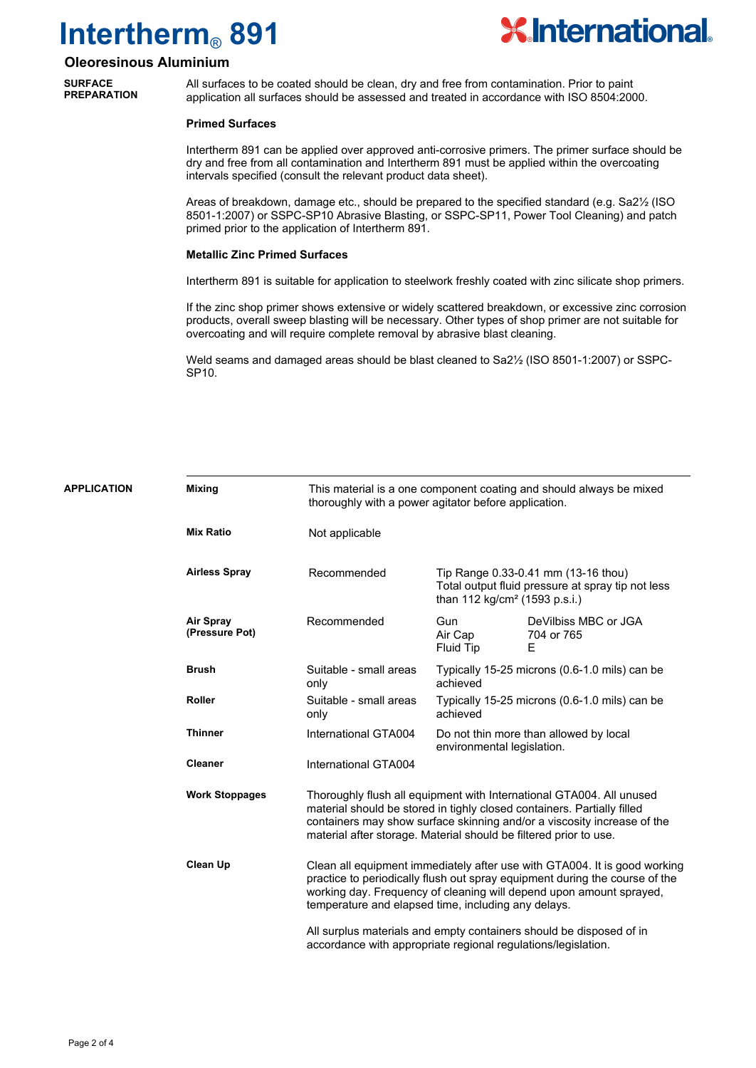

### **Oleoresinous Aluminium**

**SURFACE PREPARATION**

APP

All surfaces to be coated should be clean, dry and free from contamination. Prior to paint application all surfaces should be assessed and treated in accordance with ISO 8504:2000.

#### **Primed Surfaces**

Intertherm 891 can be applied over approved anti-corrosive primers. The primer surface should be dry and free from all contamination and Intertherm 891 must be applied within the overcoating intervals specified (consult the relevant product data sheet).

Areas of breakdown, damage etc., should be prepared to the specified standard (e.g. Sa2½ (ISO 8501-1:2007) or SSPC-SP10 Abrasive Blasting, or SSPC-SP11, Power Tool Cleaning) and patch primed prior to the application of Intertherm 891.

#### **Metallic Zinc Primed Surfaces**

Intertherm 891 is suitable for application to steelwork freshly coated with zinc silicate shop primers.

If the zinc shop primer shows extensive or widely scattered breakdown, or excessive zinc corrosion products, overall sweep blasting will be necessary. Other types of shop primer are not suitable for overcoating and will require complete removal by abrasive blast cleaning.

Weld seams and damaged areas should be blast cleaned to Sa2½ (ISO 8501-1:2007) or SSPC-SP10.

| <b>LICATION</b> | <b>Mixing</b>                      |                                                                   | This material is a one component coating and should always be mixed<br>thoroughly with a power agitator before application. |                                                                                                                                                                                                                                 |  |  |
|-----------------|------------------------------------|-------------------------------------------------------------------|-----------------------------------------------------------------------------------------------------------------------------|---------------------------------------------------------------------------------------------------------------------------------------------------------------------------------------------------------------------------------|--|--|
|                 | <b>Mix Ratio</b>                   | Not applicable                                                    |                                                                                                                             |                                                                                                                                                                                                                                 |  |  |
|                 | <b>Airless Spray</b>               | Recommended                                                       |                                                                                                                             | Tip Range 0.33-0.41 mm (13-16 thou)<br>Total output fluid pressure at spray tip not less<br>than 112 kg/cm <sup>2</sup> (1593 p.s.i.)                                                                                           |  |  |
|                 | <b>Air Spray</b><br>(Pressure Pot) | Recommended                                                       | Gun<br>Air Cap<br>Fluid Tip                                                                                                 | DeVilbiss MBC or JGA<br>704 or 765<br>Е                                                                                                                                                                                         |  |  |
|                 | <b>Brush</b>                       | Suitable - small areas<br>only                                    | achieved                                                                                                                    | Typically 15-25 microns (0.6-1.0 mils) can be                                                                                                                                                                                   |  |  |
|                 | <b>Roller</b>                      | Suitable - small areas<br>only                                    | achieved                                                                                                                    | Typically 15-25 microns (0.6-1.0 mils) can be                                                                                                                                                                                   |  |  |
|                 | <b>Thinner</b>                     | International GTA004                                              | environmental legislation.                                                                                                  | Do not thin more than allowed by local                                                                                                                                                                                          |  |  |
|                 | <b>Cleaner</b>                     | International GTA004                                              |                                                                                                                             |                                                                                                                                                                                                                                 |  |  |
|                 | <b>Work Stoppages</b>              | material after storage. Material should be filtered prior to use. |                                                                                                                             | Thoroughly flush all equipment with International GTA004. All unused<br>material should be stored in tighly closed containers. Partially filled<br>containers may show surface skinning and/or a viscosity increase of the      |  |  |
|                 | <b>Clean Up</b>                    | temperature and elapsed time, including any delays.               |                                                                                                                             | Clean all equipment immediately after use with GTA004. It is good working<br>practice to periodically flush out spray equipment during the course of the<br>working day. Frequency of cleaning will depend upon amount sprayed, |  |  |
|                 |                                    | accordance with appropriate regional regulations/legislation.     |                                                                                                                             | All surplus materials and empty containers should be disposed of in                                                                                                                                                             |  |  |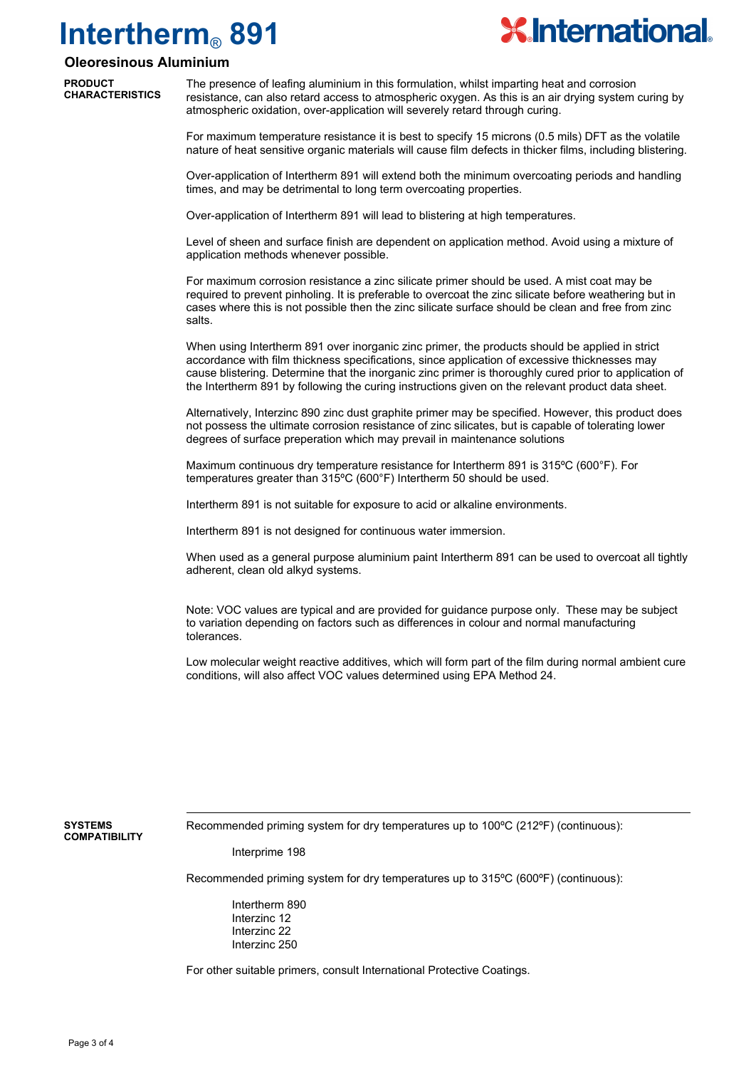

### **Oleoresinous Aluminium**

**PRODUCT CHARACTERISTICS**

The presence of leafing aluminium in this formulation, whilst imparting heat and corrosion resistance, can also retard access to atmospheric oxygen. As this is an air drying system curing by atmospheric oxidation, over-application will severely retard through curing.

For maximum temperature resistance it is best to specify 15 microns (0.5 mils) DFT as the volatile nature of heat sensitive organic materials will cause film defects in thicker films, including blistering.

Over-application of Intertherm 891 will extend both the minimum overcoating periods and handling times, and may be detrimental to long term overcoating properties.

Over-application of Intertherm 891 will lead to blistering at high temperatures.

Level of sheen and surface finish are dependent on application method. Avoid using a mixture of application methods whenever possible.

For maximum corrosion resistance a zinc silicate primer should be used. A mist coat may be required to prevent pinholing. It is preferable to overcoat the zinc silicate before weathering but in cases where this is not possible then the zinc silicate surface should be clean and free from zinc salts.

When using Intertherm 891 over inorganic zinc primer, the products should be applied in strict accordance with film thickness specifications, since application of excessive thicknesses may cause blistering. Determine that the inorganic zinc primer is thoroughly cured prior to application of the Intertherm 891 by following the curing instructions given on the relevant product data sheet.

Alternatively, Interzinc 890 zinc dust graphite primer may be specified. However, this product does not possess the ultimate corrosion resistance of zinc silicates, but is capable of tolerating lower degrees of surface preperation which may prevail in maintenance solutions

Maximum continuous dry temperature resistance for Intertherm 891 is 315ºC (600°F). For temperatures greater than 315ºC (600°F) Intertherm 50 should be used.

Intertherm 891 is not suitable for exposure to acid or alkaline environments.

Intertherm 891 is not designed for continuous water immersion.

When used as a general purpose aluminium paint Intertherm 891 can be used to overcoat all tightly adherent, clean old alkyd systems.

Note: VOC values are typical and are provided for guidance purpose only. These may be subject to variation depending on factors such as differences in colour and normal manufacturing tolerances.

Low molecular weight reactive additives, which will form part of the film during normal ambient cure conditions, will also affect VOC values determined using EPA Method 24.

**SYSTEMS COMPATIBILITY** Recommended priming system for dry temperatures up to 100ºC (212ºF) (continuous):

Interprime 198

Recommended priming system for dry temperatures up to 315ºC (600ºF) (continuous):

Intertherm 890 Interzinc 12 Interzinc 22 Interzinc 250

For other suitable primers, consult International Protective Coatings.